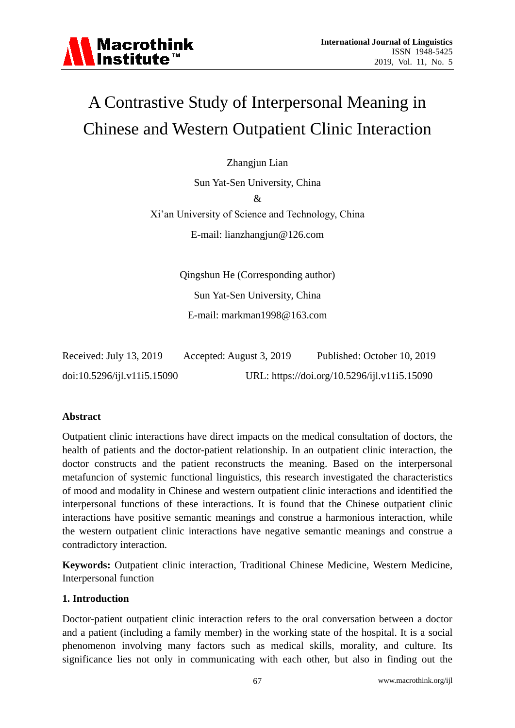# A Contrastive Study of Interpersonal Meaning in Chinese and Western Outpatient Clinic Interaction

Zhangjun Lian

Sun Yat-Sen University, China & Xi'an University of Science and Technology, China E-mail: lianzhangjun@126.com

> Qingshun He (Corresponding author) Sun Yat-Sen University, China E-mail: markman1998@163.com

| Received: July 13, 2019      | Accepted: August 3, 2019 | Published: October 10, 2019                  |
|------------------------------|--------------------------|----------------------------------------------|
| doi:10.5296/ijkl.v11i5.15090 |                          | URL: https://doi.org/10.5296/ijl.v11i5.15090 |

# **Abstract**

Outpatient clinic interactions have direct impacts on the medical consultation of doctors, the health of patients and the doctor-patient relationship. In an outpatient clinic interaction, the doctor constructs and the patient reconstructs the meaning. Based on the interpersonal metafuncion of systemic functional linguistics, this research investigated the characteristics of mood and modality in Chinese and western outpatient clinic interactions and identified the interpersonal functions of these interactions. It is found that the Chinese outpatient clinic interactions have positive semantic meanings and construe a harmonious interaction, while the western outpatient clinic interactions have negative semantic meanings and construe a contradictory interaction.

**Keywords:** Outpatient clinic interaction, Traditional Chinese Medicine, Western Medicine, Interpersonal function

#### **1. Introduction**

Doctor-patient outpatient clinic interaction refers to the oral conversation between a doctor and a patient (including a family member) in the working state of the hospital. It is a social phenomenon involving many factors such as medical skills, morality, and culture. Its significance lies not only in communicating with each other, but also in finding out the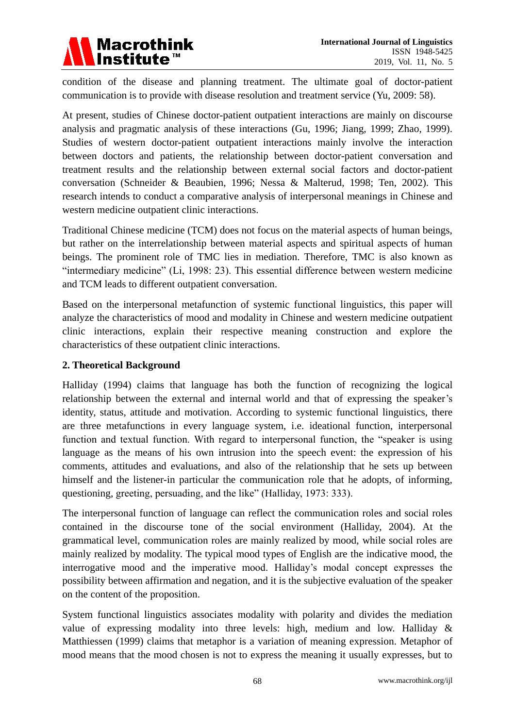

condition of the disease and planning treatment. The ultimate goal of doctor-patient communication is to provide with disease resolution and treatment service (Yu, 2009: 58).

At present, studies of Chinese doctor-patient outpatient interactions are mainly on discourse analysis and pragmatic analysis of these interactions (Gu, 1996; Jiang, 1999; Zhao, 1999). Studies of western doctor-patient outpatient interactions mainly involve the interaction between doctors and patients, the relationship between doctor-patient conversation and treatment results and the relationship between external social factors and doctor-patient conversation (Schneider & Beaubien, 1996; Nessa & Malterud, 1998; Ten, 2002). This research intends to conduct a comparative analysis of interpersonal meanings in Chinese and western medicine outpatient clinic interactions.

Traditional Chinese medicine (TCM) does not focus on the material aspects of human beings, but rather on the interrelationship between material aspects and spiritual aspects of human beings. The prominent role of TMC lies in mediation. Therefore, TMC is also known as "intermediary medicine" (Li, 1998: 23). This essential difference between western medicine and TCM leads to different outpatient conversation.

Based on the interpersonal metafunction of systemic functional linguistics, this paper will analyze the characteristics of mood and modality in Chinese and western medicine outpatient clinic interactions, explain their respective meaning construction and explore the characteristics of these outpatient clinic interactions.

## **2. Theoretical Background**

Halliday (1994) claims that language has both the function of recognizing the logical relationship between the external and internal world and that of expressing the speaker's identity, status, attitude and motivation. According to systemic functional linguistics, there are three metafunctions in every language system, i.e. ideational function, interpersonal function and textual function. With regard to interpersonal function, the "speaker is using language as the means of his own intrusion into the speech event: the expression of his comments, attitudes and evaluations, and also of the relationship that he sets up between himself and the listener-in particular the communication role that he adopts, of informing, questioning, greeting, persuading, and the like" (Halliday, 1973: 333).

The interpersonal function of language can reflect the communication roles and social roles contained in the discourse tone of the social environment (Halliday, 2004). At the grammatical level, communication roles are mainly realized by mood, while social roles are mainly realized by modality. The typical mood types of English are the indicative mood, the interrogative mood and the imperative mood. Halliday's modal concept expresses the possibility between affirmation and negation, and it is the subjective evaluation of the speaker on the content of the proposition.

System functional linguistics associates modality with polarity and divides the mediation value of expressing modality into three levels: high, medium and low. Halliday & Matthiessen (1999) claims that metaphor is a variation of meaning expression. Metaphor of mood means that the mood chosen is not to express the meaning it usually expresses, but to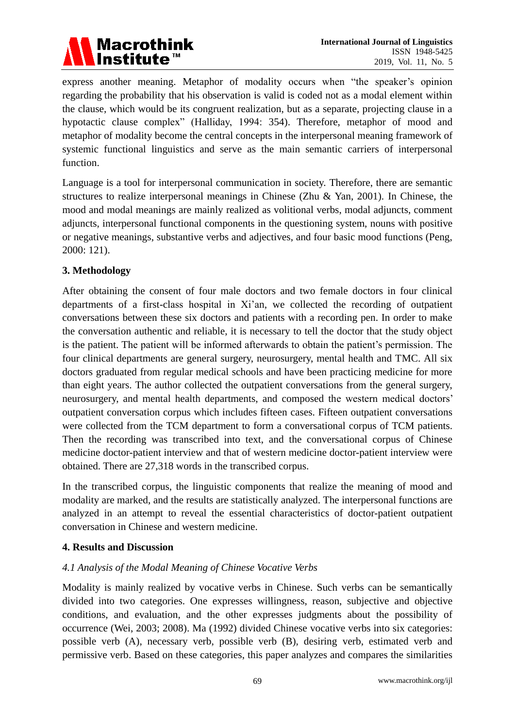

express another meaning. Metaphor of modality occurs when "the speaker's opinion regarding the probability that his observation is valid is coded not as a modal element within the clause, which would be its congruent realization, but as a separate, projecting clause in a hypotactic clause complex" (Halliday, 1994: 354). Therefore, metaphor of mood and metaphor of modality become the central concepts in the interpersonal meaning framework of systemic functional linguistics and serve as the main semantic carriers of interpersonal function.

Language is a tool for interpersonal communication in society. Therefore, there are semantic structures to realize interpersonal meanings in Chinese (Zhu & Yan, 2001). In Chinese, the mood and modal meanings are mainly realized as volitional verbs, modal adjuncts, comment adjuncts, interpersonal functional components in the questioning system, nouns with positive or negative meanings, substantive verbs and adjectives, and four basic mood functions (Peng, 2000: 121).

# **3. Methodology**

After obtaining the consent of four male doctors and two female doctors in four clinical departments of a first-class hospital in Xi'an, we collected the recording of outpatient conversations between these six doctors and patients with a recording pen. In order to make the conversation authentic and reliable, it is necessary to tell the doctor that the study object is the patient. The patient will be informed afterwards to obtain the patient's permission. The four clinical departments are general surgery, neurosurgery, mental health and TMC. All six doctors graduated from regular medical schools and have been practicing medicine for more than eight years. The author collected the outpatient conversations from the general surgery, neurosurgery, and mental health departments, and composed the western medical doctors' outpatient conversation corpus which includes fifteen cases. Fifteen outpatient conversations were collected from the TCM department to form a conversational corpus of TCM patients. Then the recording was transcribed into text, and the conversational corpus of Chinese medicine doctor-patient interview and that of western medicine doctor-patient interview were obtained. There are 27,318 words in the transcribed corpus.

In the transcribed corpus, the linguistic components that realize the meaning of mood and modality are marked, and the results are statistically analyzed. The interpersonal functions are analyzed in an attempt to reveal the essential characteristics of doctor-patient outpatient conversation in Chinese and western medicine.

# **4. Results and Discussion**

# *4.1 Analysis of the Modal Meaning of Chinese Vocative Verbs*

Modality is mainly realized by vocative verbs in Chinese. Such verbs can be semantically divided into two categories. One expresses willingness, reason, subjective and objective conditions, and evaluation, and the other expresses judgments about the possibility of occurrence (Wei, 2003; 2008). Ma (1992) divided Chinese vocative verbs into six categories: possible verb (A), necessary verb, possible verb (B), desiring verb, estimated verb and permissive verb. Based on these categories, this paper analyzes and compares the similarities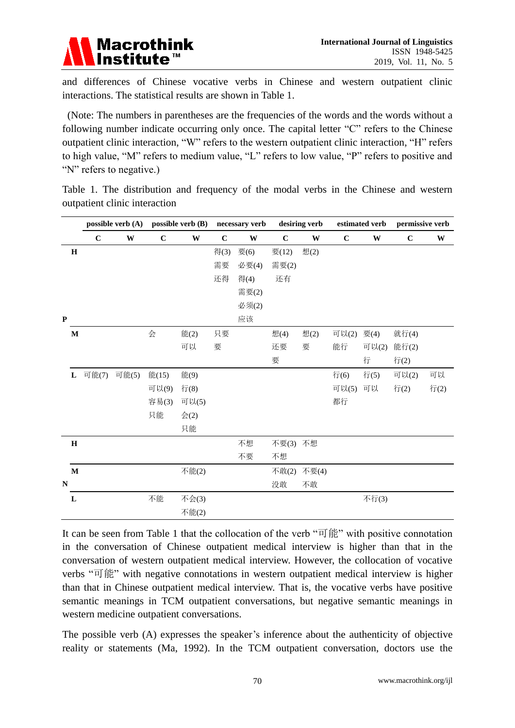

and differences of Chinese vocative verbs in Chinese and western outpatient clinic interactions. The statistical results are shown in Table 1.

(Note: The numbers in parentheses are the frequencies of the words and the words without a following number indicate occurring only once. The capital letter "C" refers to the Chinese outpatient clinic interaction, "W" refers to the western outpatient clinic interaction, "H" refers to high value, "M" refers to medium value, "L" refers to low value, "P" refers to positive and "N" refers to negative.)

Table 1. The distribution and frequency of the modal verbs in the Chinese and western outpatient clinic interaction

|           |              | possible verb $(A)$ |       | possible verb (B) |                 | necessary verb |       | desiring verb |       |             | estimated verb | permissive verb |      |
|-----------|--------------|---------------------|-------|-------------------|-----------------|----------------|-------|---------------|-------|-------------|----------------|-----------------|------|
|           |              | $\mathbf C$         | W     | $\mathbf C$       | W               | $\mathbf C$    | W     | $\mathbf C$   | W     | $\mathbf C$ | W              | $\mathbf C$     | W    |
|           | $\mathbf H$  |                     |       |                   |                 | 得(3)           | 要(6)  | 要(12)         | 想(2)  |             |                |                 |      |
|           |              |                     |       |                   |                 | 需要             | 必要(4) | 需要(2)         |       |             |                |                 |      |
|           |              |                     |       |                   |                 | 还得             | 得(4)  | 还有            |       |             |                |                 |      |
|           |              |                     |       |                   |                 |                | 需要(2) |               |       |             |                |                 |      |
|           |              |                     |       |                   |                 |                | 必须(2) |               |       |             |                |                 |      |
| ${\bf P}$ |              |                     |       |                   |                 |                | 应该    |               |       |             |                |                 |      |
|           | $\mathbf M$  |                     |       | 会                 | 能(2)            | 只要             |       | 想(4)          | 想(2)  | 可以(2)       | 要(4)           | 就行(4)           |      |
|           |              |                     |       |                   | 可以              | 要              |       | 还要            | 要     | 能行          | 可以(2)          | 能行(2)           |      |
|           |              |                     |       |                   |                 |                |       | 要             |       |             | 行              | 行(2)            |      |
|           | L            | 可能(7)               | 可能(5) | 能(15)             | 能(9)            |                |       |               |       | 行(6)        | 行(5)           | 可以(2)           | 可以   |
|           |              |                     |       | 可以(9)             | 行(8)            |                |       |               |       | 可以(5)       | 可以             | 行(2)            | 行(2) |
|           |              |                     |       | 容易(3)             | 可以(5)           |                |       |               |       | 都行          |                |                 |      |
|           |              |                     |       | 只能                | $\hat{\Xi}$ (2) |                |       |               |       |             |                |                 |      |
|           |              |                     |       |                   | 只能              |                |       |               |       |             |                |                 |      |
|           | $\bf H$      |                     |       |                   |                 |                | 不想    | 不要(3) 不想      |       |             |                |                 |      |
|           |              |                     |       |                   |                 |                | 不要    | 不想            |       |             |                |                 |      |
|           | $\mathbf{M}$ |                     |       |                   | 不能(2)           |                |       | 不敢(2)         | 不要(4) |             |                |                 |      |
| N         |              |                     |       |                   |                 |                |       | 没敢            | 不敢    |             |                |                 |      |
|           | $\mathbf L$  |                     |       | 不能                | 不会(3)           |                |       |               |       |             | 不行(3)          |                 |      |
|           |              |                     |       |                   | 不能(2)           |                |       |               |       |             |                |                 |      |

It can be seen from Table 1 that the collocation of the verb "可能" with positive connotation in the conversation of Chinese outpatient medical interview is higher than that in the conversation of western outpatient medical interview. However, the collocation of vocative verbs "可能" with negative connotations in western outpatient medical interview is higher than that in Chinese outpatient medical interview. That is, the vocative verbs have positive semantic meanings in TCM outpatient conversations, but negative semantic meanings in western medicine outpatient conversations.

The possible verb (A) expresses the speaker's inference about the authenticity of objective reality or statements (Ma, 1992). In the TCM outpatient conversation, doctors use the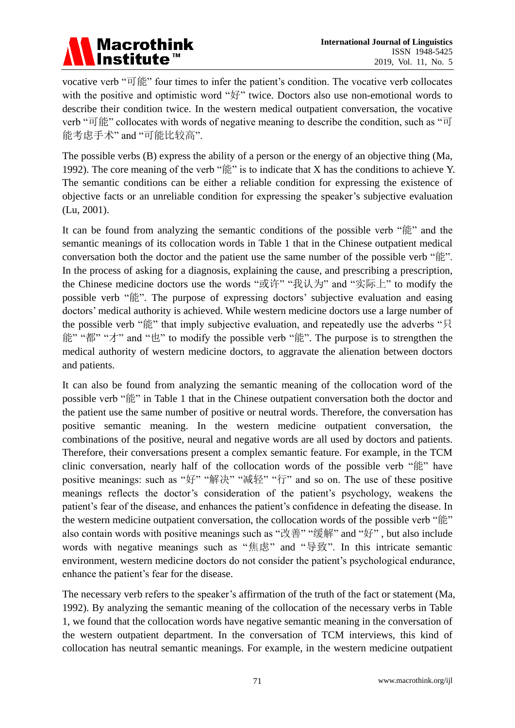# Macrothink<br>Institute™

vocative verb "可能" four times to infer the patient's condition. The vocative verb collocates with the positive and optimistic word "好" twice. Doctors also use non-emotional words to describe their condition twice. In the western medical outpatient conversation, the vocative verb "可能" collocates with words of negative meaning to describe the condition, such as "可 能考虑手术" and "可能比较高".

The possible verbs (B) express the ability of a person or the energy of an objective thing (Ma, 1992). The core meaning of the verb " $\frac{2}{3}$ " is to indicate that X has the conditions to achieve Y. The semantic conditions can be either a reliable condition for expressing the existence of objective facts or an unreliable condition for expressing the speaker's subjective evaluation (Lu, 2001).

It can be found from analyzing the semantic conditions of the possible verb "能" and the semantic meanings of its collocation words in Table 1 that in the Chinese outpatient medical conversation both the doctor and the patient use the same number of the possible verb "能". In the process of asking for a diagnosis, explaining the cause, and prescribing a prescription, the Chinese medicine doctors use the words "或许" "我认为" and "实际上" to modify the possible verb "能". The purpose of expressing doctors' subjective evaluation and easing doctors' medical authority is achieved. While western medicine doctors use a large number of the possible verb "能" that imply subjective evaluation, and repeatedly use the adverbs "只 能" "都" "才" and "也" to modify the possible verb "能". The purpose is to strengthen the medical authority of western medicine doctors, to aggravate the alienation between doctors and patients.

It can also be found from analyzing the semantic meaning of the collocation word of the possible verb "能" in Table 1 that in the Chinese outpatient conversation both the doctor and the patient use the same number of positive or neutral words. Therefore, the conversation has positive semantic meaning. In the western medicine outpatient conversation, the combinations of the positive, neural and negative words are all used by doctors and patients. Therefore, their conversations present a complex semantic feature. For example, in the TCM clinic conversation, nearly half of the collocation words of the possible verb "能" have positive meanings: such as "好" "解决" "减轻" "行" and so on. The use of these positive meanings reflects the doctor's consideration of the patient's psychology, weakens the patient's fear of the disease, and enhances the patient's confidence in defeating the disease. In the western medicine outpatient conversation, the collocation words of the possible verb "能" also contain words with positive meanings such as "改善" "缓解" and "好" , but also include words with negative meanings such as "焦虑" and "导致". In this intricate semantic environment, western medicine doctors do not consider the patient's psychological endurance, enhance the patient's fear for the disease.

The necessary verb refers to the speaker's affirmation of the truth of the fact or statement (Ma, 1992). By analyzing the semantic meaning of the collocation of the necessary verbs in Table 1, we found that the collocation words have negative semantic meaning in the conversation of the western outpatient department. In the conversation of TCM interviews, this kind of collocation has neutral semantic meanings. For example, in the western medicine outpatient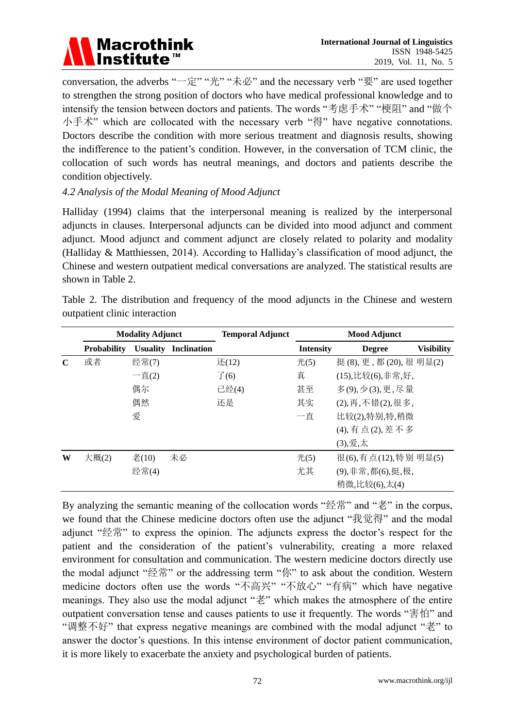

conversation, the adverbs "一定" "光" "未必" and the necessary verb "要" are used together to strengthen the strong position of doctors who have medical professional knowledge and to intensify the tension between doctors and patients. The words "考虑手术" "梗阻" and "做个 小手术" which are collocated with the necessary verb "得" have negative connotations. Doctors describe the condition with more serious treatment and diagnosis results, showing the indifference to the patient's condition. However, in the conversation of TCM clinic, the collocation of such words has neutral meanings, and doctors and patients describe the condition objectively.

# *4.2 Analysis of the Modal Meaning of Mood Adjunct*

Halliday (1994) claims that the interpersonal meaning is realized by the interpersonal adjuncts in clauses. Interpersonal adjuncts can be divided into mood adjunct and comment adjunct. Mood adjunct and comment adjunct are closely related to polarity and modality (Halliday & Matthiessen, 2014). According to Halliday's classification of mood adjunct, the Chinese and western outpatient medical conversations are analyzed. The statistical results are shown in Table 2.

|  | Table 2. The distribution and frequency of the mood adjuncts in the Chinese and western |  |  |  |  |  |
|--|-----------------------------------------------------------------------------------------|--|--|--|--|--|
|  | outpatient clinic interaction                                                           |  |  |  |  |  |

|             |                    | <b>Modality Adjunct</b>             |                    | <b>Temporal Adjunct</b> | <b>Mood Adjunct</b> |                        |                   |  |  |  |
|-------------|--------------------|-------------------------------------|--------------------|-------------------------|---------------------|------------------------|-------------------|--|--|--|
|             | <b>Probability</b> | <b>Usuality</b>                     | <b>Inclination</b> |                         | <b>Intensity</b>    | <b>Degree</b>          | <b>Visibility</b> |  |  |  |
| $\mathbf C$ | 或者                 | 经常(7)                               |                    | 还(12)                   | 光(5)                | 挺(8), 更, 都(20), 很明显(2) |                   |  |  |  |
|             |                    | $-\underline{\bar{\mathrm{H}}}$ (2) |                    | $\overline{f}(6)$       | 真                   | (15),比较(6),非常,好,       |                   |  |  |  |
|             |                    | 偶尔                                  |                    | 已经(4)                   | 甚至                  | 多(9), 少(3), 更, 尽量      |                   |  |  |  |
|             |                    | 偶然                                  |                    | 还是                      | 其实                  | (2),再,不错(2),很多,        |                   |  |  |  |
|             |                    | 爱                                   |                    |                         | 一直                  | 比较(2),特别,特,稍微          |                   |  |  |  |
|             |                    |                                     |                    |                         |                     | (4), 有点(2), 差不多        |                   |  |  |  |
|             |                    |                                     |                    |                         |                     | (3),爱,太                |                   |  |  |  |
| W           | 大概(2)              | 老(10)                               | 未必                 |                         | 光(5)                | 很(6),有点(12),特别明显(5)    |                   |  |  |  |
|             |                    | 经常(4)                               |                    |                         | 尤其                  | (9),非常,都(6),挺,极,       |                   |  |  |  |
|             |                    |                                     |                    |                         |                     | 稍微,比较(6),太(4)          |                   |  |  |  |

By analyzing the semantic meaning of the collocation words "经常" and "老" in the corpus, we found that the Chinese medicine doctors often use the adjunct "我觉得" and the modal adjunct "经常" to express the opinion. The adjuncts express the doctor's respect for the patient and the consideration of the patient's vulnerability, creating a more relaxed environment for consultation and communication. The western medicine doctors directly use the modal adjunct "经常" or the addressing term "你" to ask about the condition. Western medicine doctors often use the words "不高兴" "不放心" "有病" which have negative meanings. They also use the modal adjunct "老" which makes the atmosphere of the entire outpatient conversation tense and causes patients to use it frequently. The words "害怕" and "调整不好" that express negative meanings are combined with the modal adjunct "老" to answer the doctor's questions. In this intense environment of doctor patient communication, it is more likely to exacerbate the anxiety and psychological burden of patients.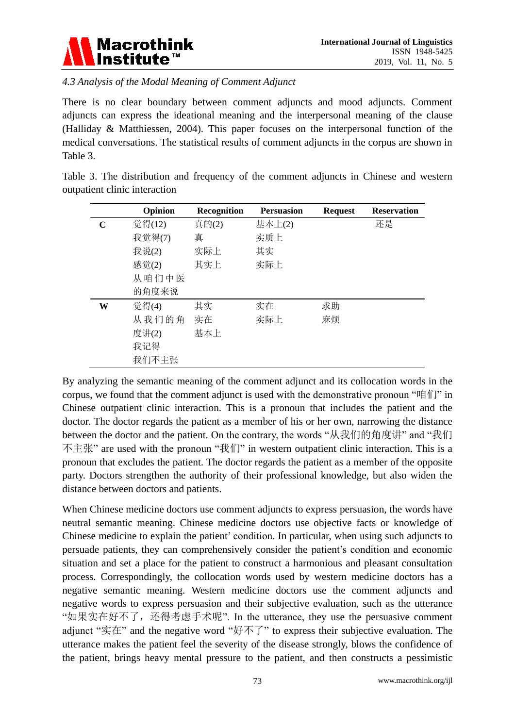

*4.3 Analysis of the Modal Meaning of Comment Adjunct*

There is no clear boundary between comment adjuncts and mood adjuncts. Comment adjuncts can express the ideational meaning and the interpersonal meaning of the clause (Halliday & Matthiessen, 2004). This paper focuses on the interpersonal function of the medical conversations. The statistical results of comment adjuncts in the corpus are shown in Table 3.

Table 3. The distribution and frequency of the comment adjuncts in Chinese and western outpatient clinic interaction

|   | Opinion | Recognition | <b>Persuasion</b> | <b>Request</b> | <b>Reservation</b> |
|---|---------|-------------|-------------------|----------------|--------------------|
| C | 觉得(12)  | 真的(2)       | 基本上(2)            |                | 还是                 |
|   | 我觉得(7)  | 真           | 实质上               |                |                    |
|   | 我说(2)   | 实际上         | 其实                |                |                    |
|   | 感觉(2)   | 其实上         | 实际上               |                |                    |
|   | 从咱们中医   |             |                   |                |                    |
|   | 的角度来说   |             |                   |                |                    |
| W | 觉得(4)   | 其实          | 实在                | 求助             |                    |
|   | 从我们的角   | 实在          | 实际上               | 麻烦             |                    |
|   | 度讲(2)   | 基本上         |                   |                |                    |
|   | 我记得     |             |                   |                |                    |
|   | 我们不主张   |             |                   |                |                    |

By analyzing the semantic meaning of the comment adjunct and its collocation words in the corpus, we found that the comment adjunct is used with the demonstrative pronoun "咱们" in Chinese outpatient clinic interaction. This is a pronoun that includes the patient and the doctor. The doctor regards the patient as a member of his or her own, narrowing the distance between the doctor and the patient. On the contrary, the words "从我们的角度讲" and "我们 不主张" are used with the pronoun "我们" in western outpatient clinic interaction. This is a pronoun that excludes the patient. The doctor regards the patient as a member of the opposite party. Doctors strengthen the authority of their professional knowledge, but also widen the distance between doctors and patients.

When Chinese medicine doctors use comment adjuncts to express persuasion, the words have neutral semantic meaning. Chinese medicine doctors use objective facts or knowledge of Chinese medicine to explain the patient' condition. In particular, when using such adjuncts to persuade patients, they can comprehensively consider the patient's condition and economic situation and set a place for the patient to construct a harmonious and pleasant consultation process. Correspondingly, the collocation words used by western medicine doctors has a negative semantic meaning. Western medicine doctors use the comment adjuncts and negative words to express persuasion and their subjective evaluation, such as the utterance "如果实在好不了, 还得考虑手术呢". In the utterance, they use the persuasive comment adjunct "实在" and the negative word "好不了" to express their subjective evaluation. The utterance makes the patient feel the severity of the disease strongly, blows the confidence of the patient, brings heavy mental pressure to the patient, and then constructs a pessimistic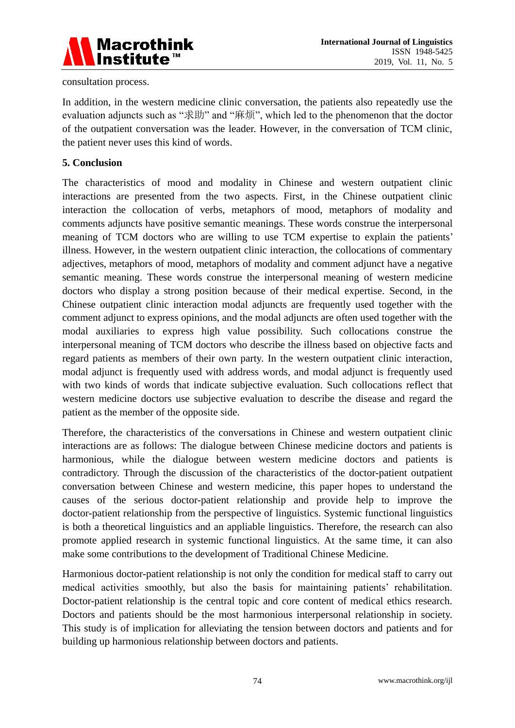

consultation process.

In addition, in the western medicine clinic conversation, the patients also repeatedly use the evaluation adjuncts such as "求助" and "麻烦", which led to the phenomenon that the doctor of the outpatient conversation was the leader. However, in the conversation of TCM clinic, the patient never uses this kind of words.

## **5. Conclusion**

The characteristics of mood and modality in Chinese and western outpatient clinic interactions are presented from the two aspects. First, in the Chinese outpatient clinic interaction the collocation of verbs, metaphors of mood, metaphors of modality and comments adjuncts have positive semantic meanings. These words construe the interpersonal meaning of TCM doctors who are willing to use TCM expertise to explain the patients' illness. However, in the western outpatient clinic interaction, the collocations of commentary adjectives, metaphors of mood, metaphors of modality and comment adjunct have a negative semantic meaning. These words construe the interpersonal meaning of western medicine doctors who display a strong position because of their medical expertise. Second, in the Chinese outpatient clinic interaction modal adjuncts are frequently used together with the comment adjunct to express opinions, and the modal adjuncts are often used together with the modal auxiliaries to express high value possibility. Such collocations construe the interpersonal meaning of TCM doctors who describe the illness based on objective facts and regard patients as members of their own party. In the western outpatient clinic interaction, modal adjunct is frequently used with address words, and modal adjunct is frequently used with two kinds of words that indicate subjective evaluation. Such collocations reflect that western medicine doctors use subjective evaluation to describe the disease and regard the patient as the member of the opposite side.

Therefore, the characteristics of the conversations in Chinese and western outpatient clinic interactions are as follows: The dialogue between Chinese medicine doctors and patients is harmonious, while the dialogue between western medicine doctors and patients is contradictory. Through the discussion of the characteristics of the doctor-patient outpatient conversation between Chinese and western medicine, this paper hopes to understand the causes of the serious doctor-patient relationship and provide help to improve the doctor-patient relationship from the perspective of linguistics. Systemic functional linguistics is both a theoretical linguistics and an appliable linguistics. Therefore, the research can also promote applied research in systemic functional linguistics. At the same time, it can also make some contributions to the development of Traditional Chinese Medicine.

Harmonious doctor-patient relationship is not only the condition for medical staff to carry out medical activities smoothly, but also the basis for maintaining patients' rehabilitation. Doctor-patient relationship is the central topic and core content of medical ethics research. Doctors and patients should be the most harmonious interpersonal relationship in society. This study is of implication for alleviating the tension between doctors and patients and for building up harmonious relationship between doctors and patients.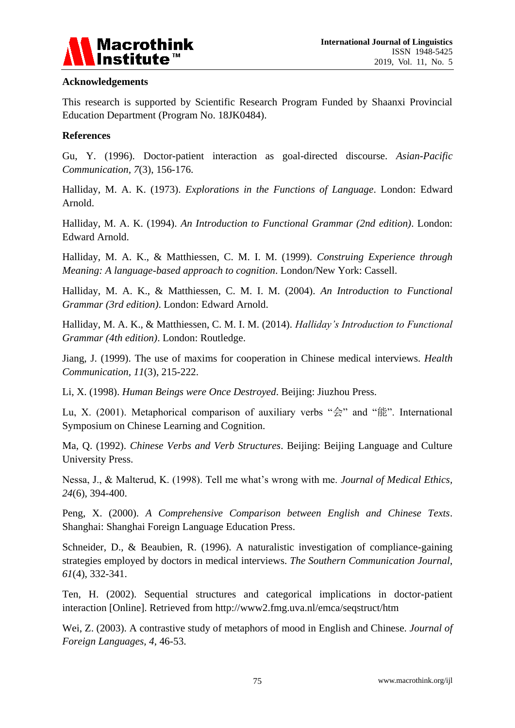

# **Acknowledgements**

This research is supported by Scientific Research Program Funded by Shaanxi Provincial Education Department (Program No. 18JK0484).

# **References**

Gu, Y. (1996). Doctor-patient interaction as goal-directed discourse. *Asian-Pacific Communication, 7*(3), 156-176.

Halliday, M. A. K. (1973). *Explorations in the Functions of Language*. London: Edward Arnold.

Halliday, M. A. K. (1994). *An Introduction to Functional Grammar (2nd edition)*. London: Edward Arnold.

Halliday, M. A. K., & Matthiessen, C. M. I. M. (1999). *Construing Experience through Meaning: A language-based approach to cognition*. London/New York: Cassell.

Halliday, M. A. K., & Matthiessen, C. M. I. M. (2004). *An Introduction to Functional Grammar (3rd edition)*. London: Edward Arnold.

Halliday, M. A. K., & Matthiessen, C. M. I. M. (2014). *Halliday's Introduction to Functional Grammar (4th edition)*. London: Routledge.

Jiang, J. (1999). The use of maxims for cooperation in Chinese medical interviews. *Health Communication, 11*(3), 215-222.

Li, X. (1998). *Human Beings were Once Destroyed*. Beijing: Jiuzhou Press.

Lu, X. (2001). Metaphorical comparison of auxiliary verbs " $\hat{\otimes}$ " and " $\hat{\otimes}$ ". International Symposium on Chinese Learning and Cognition.

Ma, Q. (1992). *Chinese Verbs and Verb Structures*. Beijing: Beijing Language and Culture University Press.

Nessa, J., & Malterud, K. (1998). Tell me what's wrong with me. *Journal of Medical Ethics, 24*(6), 394-400.

Peng, X. (2000). *A Comprehensive Comparison between English and Chinese Texts*. Shanghai: Shanghai Foreign Language Education Press.

Schneider, D., & Beaubien, R. (1996). A naturalistic investigation of compliance-gaining strategies employed by doctors in medical interviews. *The Southern Communication Journal*, *61*(4), 332-341.

Ten, H. (2002). Sequential structures and categorical implications in doctor-patient interaction [Online]. Retrieved from http://www2.fmg.uva.nl/emca/seqstruct/htm

Wei, Z. (2003). A contrastive study of metaphors of mood in English and Chinese. *Journal of Foreign Languages, 4*, 46-53.